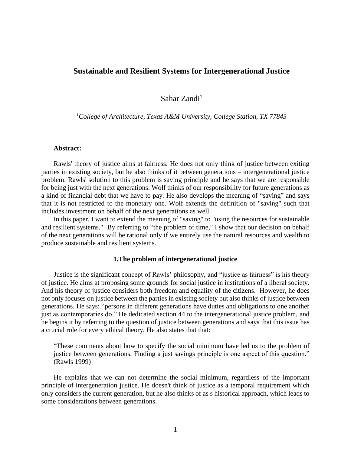# **Sustainable and Resilient Systems for Intergenerational Justice**

Sahar Zandi<sup>1</sup>

*<sup>1</sup>College of Architecture, Texas A&M University, College Station, TX 77843*

## **Abstract:**

Rawls' theory of justice aims at fairness. He does not only think of justice between exiting parties in existing society, but he also thinks of it between generations – intergenerational justice problem. Rawls' solution to this problem is saving principle and he says that we are responsible for being just with the next generations. Wolf thinks of our responsibility for future generations as a kind of financial debt that we have to pay. He also develops the meaning of "saving" and says that it is not restricted to the monetary one. Wolf extends the definition of "saving" such that includes investment on behalf of the next generations as well.

In this paper, I want to extend the meaning of "saving" to "using the resources for sustainable and resilient systems." By referring to "the problem of time," I show that our decision on behalf of the next generations will be rational only if we entirely use the natural resources and wealth to produce sustainable and resilient systems.

### **1.The problem of intergenerational justice**

Justice is the significant concept of Rawls' philosophy, and "justice as fairness" is his theory of justice. He aims at proposing some grounds for social justice in institutions of a liberal society. And his theory of justice considers both freedom and equality of the citizens. However, he does not only focuses on justice between the parties in existing society but also thinks of justice between generations. He says: "persons in different generations have duties and obligations to one another just as contemporaries do." He dedicated section 44 to the intergenerational justice problem, and he begins it by referring to the question of justice between generations and says that this issue has a crucial role for every ethical theory. He also states that that:

"These comments about how to specify the social minimum have led us to the problem of justice between generations. Finding a just savings principle is one aspect of this question." (Rawls 1999)

He explains that we can not determine the social minimum, regardless of the important principle of intergeneration justice. He doesn't think of justice as a temporal requirement which only considers the current generation, but he also thinks of as s historical approach, which leads to some considerations between generations.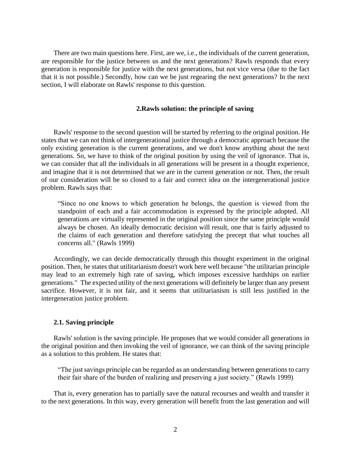There are two main questions here. First, are we, i.e., the individuals of the current generation, are responsible for the justice between us and the next generations? Rawls responds that every generation is responsible for justice with the next generations, but not vice versa (due to the fact that it is not possible.) Secondly, how can we be just regearing the next generations? In the next section, I will elaborate on Rawls' response to this question.

#### **2.Rawls solution: the principle of saving**

Rawls' response to the second question will be started by referring to the original position. He states that we can not think of intergenerational justice through a democratic approach because the only existing generation is the current generations, and we don't know anything about the next generations. So, we have to think of the original position by using the veil of ignorance. That is, we can consider that all the individuals in all generations will be present in a thought experience, and imagine that it is not determined that we are in the current generation or not. Then, the result of our consideration will be so closed to a fair and correct idea on the intergenerational justice problem. Rawls says that:

"Since no one knows to which generation he belongs, the question is viewed from the standpoint of each and a fair accommodation is expressed by the principle adopted. All generations are virtually represented in the original position since the same principle would always be chosen. An ideally democratic decision will result, one that is fairly adjusted to the claims of each generation and therefore satisfying the precept that what touches all concerns all." (Rawls 1999)

Accordingly, we can decide democratically through this thought experiment in the original position. Then, he states that utilitarianism doesn't work here well because "the utilitarian principle may lead to an extremely high rate of saving, which imposes excessive hardships on earlier generations." The expected utility of the next generations will definitely be larger than any present sacrifice. However, it is not fair, and it seems that utilitarianism is still less justified in the intergeneration justice problem.

#### **2.1. Saving principle**

Rawls' solution is the saving principle. He proposes that we would consider all generations in the original position and then invoking the veil of ignorance, we can think of the saving principle as a solution to this problem. He states that:

"The just savings principle can be regarded as an understanding between generations to carry their fair share of the burden of realizing and preserving a just society." (Rawls 1999)

That is, every generation has to partially save the natural recourses and wealth and transfer it to the next generations. In this way, every generation will benefit from the last generation and will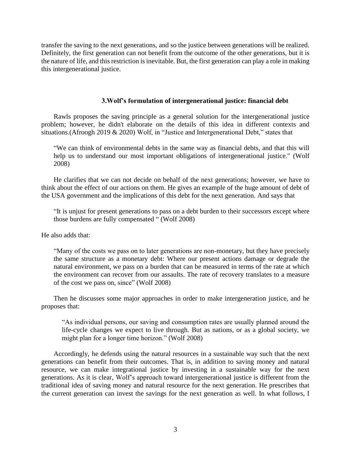transfer the saving to the next generations, and so the justice between generations will be realized. Definitely, the first generation can not benefit from the outcome of the other generations, but it is the nature of life, and this restriction is inevitable. But, the first generation can play a role in making this intergenerational justice.

## **3.Wolf's formulation of intergenerational justice: financial debt**

Rawls proposes the saving principle as a general solution for the intergenerational justice problem; however, he didn't elaborate on the details of this idea in different contexts and situations.(Afroogh 2019 & 2020) Wolf, in "Justice and Intergenerational Debt," states that

"We can think of environmental debts in the same way as financial debts, and that this will help us to understand our most important obligations of intergenerational justice." (Wolf 2008)

He clarifies that we can not decide on behalf of the next generations; however, we have to think about the effect of our actions on them. He gives an example of the huge amount of debt of the USA government and the implications of this debt for the next generation. And says that

"It is unjust for present generations to pass on a debt burden to their successors except where those burdens are fully compensated " (Wolf 2008)

He also adds that:

"Many of the costs we pass on to later generations are non-monetary, but they have precisely the same structure as a monetary debt: Where our present actions damage or degrade the natural environment, we pass on a burden that can be measured in terms of the rate at which the environment can recover from our assaults. The rate of recovery translates to a measure of the cost we pass on, since" (Wolf 2008)

Then he discusses some major approaches in order to make intergeneration justice, and he proposes that:

"As individual persons, our saving and consumption rates are usually planned around the life-cycle changes we expect to live through. But as nations, or as a global society, we might plan for a longer time horizon." (Wolf 2008)

Accordingly, he defends using the natural resources in a sustainable way such that the next generations can benefit from their outcomes. That is, in addition to saving money and natural resource, we can make integrational justice by investing in a sustainable way for the next generations. As it is clear, Wolf's approach toward intergenerational justice is different from the traditional idea of saving money and natural resource for the next generation. He prescribes that the current generation can invest the savings for the next generation as well. In what follows, I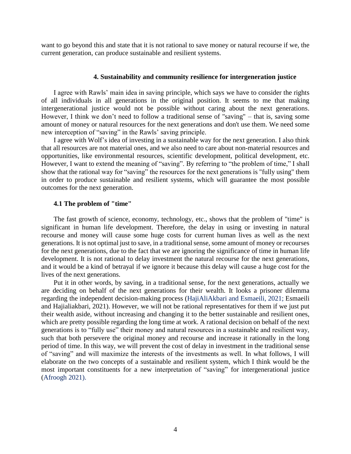want to go beyond this and state that it is not rational to save money or natural recourse if we, the current generation, can produce sustainable and resilient systems.

### **4. Sustainability and community resilience for intergeneration justice**

I agree with Rawls' main idea in saving principle, which says we have to consider the rights of all individuals in all generations in the original position. It seems to me that making intergenerational justice would not be possible without caring about the next generations. However, I think we don't need to follow a traditional sense of "saving" – that is, saving some amount of money or natural resources for the next generations and don't use them. We need some new interception of "saving" in the Rawls' saving principle.

I agree with Wolf's idea of investing in a sustainable way for the next generation. I also think that all resources are not material ones, and we also need to care about non-material resources and opportunities, like environmental resources, scientific development, political development, etc. However, I want to extend the meaning of "saving". By referring to "the problem of time," I shall show that the rational way for "saving" the resources for the next generations is "fully using" them in order to produce sustainable and resilient systems, which will guarantee the most possible outcomes for the next generation.

#### **4.1 The problem of "time"**

The fast growth of science, economy, technology, etc., shows that the problem of "time" is significant in human life development. Therefore, the delay in using or investing in natural recourse and money will cause some huge costs for current human lives as well as the next generations. It is not optimal just to save, in a traditional sense, some amount of money or recourses for the next generations, due to the fact that we are ignoring the significance of time in human life development. It is not rational to delay investment the natural recourse for the next generations, and it would be a kind of betrayal if we ignore it because this delay will cause a huge cost for the lives of the next generations.

Put it in other words, by saving, in a traditional sense, for the next generations, actually we are deciding on behalf of the next generations for their wealth. It looks a prisoner dilemma regarding the independent decision-making process (HajiAliAkbari and Esmaeili, 2021; Esmaeili and Hajialiakbari, 2021). However, we will not be rational representatives for them if we just put their wealth aside, without increasing and changing it to the better sustainable and resilient ones, which are pretty possible regarding the long time at work. A rational decision on behalf of the next generations is to "fully use" their money and natural resources in a sustainable and resilient way, such that both persevere the original money and recourse and increase it rationally in the long period of time. In this way, we will prevent the cost of delay in investment in the traditional sense of "saving" and will maximize the interests of the investments as well. In what follows, I will elaborate on the two concepts of a sustainable and resilient system, which I think would be the most important constituents for a new interpretation of "saving" for intergenerational justice (Afroogh 2021).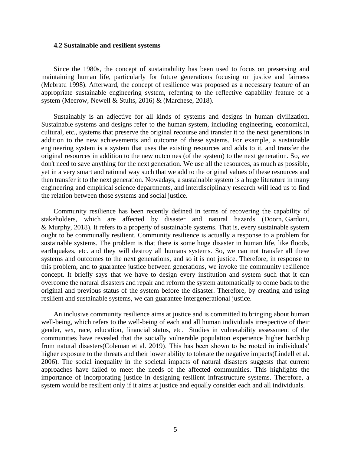### **4.2 Sustainable and resilient systems**

Since the 1980s, the concept of sustainability has been used to focus on preserving and maintaining human life, particularly for future generations focusing on justice and fairness (Mebratu 1998). Afterward, the concept of resilience was proposed as a necessary feature of an appropriate sustainable engineering system, referring to the reflective capability feature of a system (Meerow, Newell & Stults, 2016) & (Marchese, 2018).

Sustainably is an adjective for all kinds of systems and designs in human civilization. Sustainable systems and designs refer to the human system, including engineering, economical, cultural, etc., systems that preserve the original recourse and transfer it to the next generations in addition to the new achievements and outcome of these systems. For example, a sustainable engineering system is a system that uses the existing resources and adds to it, and transfer the original resources in addition to the new outcomes (of the system) to the next generation. So, we don't need to save anything for the next generation. We use all the resources, as much as possible, yet in a very smart and rational way such that we add to the original values of these resources and then transfer it to the next generation. Nowadays, a sustainable system is a huge literature in many engineering and empirical science departments, and interdisciplinary research will lead us to find the relation between those systems and social justice.

Community resilience has been recently defined in terms of recovering the capability of stakeholders, which are affected by disaster and natural hazards (Doorn, Gardoni, & Murphy, 2018). It refers to a property of sustainable systems. That is, every sustainable system ought to be communally resilient. Community resilience is actually a response to a problem for sustainable systems. The problem is that there is some huge disaster in human life, like floods, earthquakes, etc. and they will destroy all humans systems. So, we can not transfer all these systems and outcomes to the next generations, and so it is not justice. Therefore, in response to this problem, and to guarantee justice between generations, we invoke the community resilience concept. It briefly says that we have to design every institution and system such that it can overcome the natural disasters and repair and reform the system automatically to come back to the original and previous status of the system before the disaster. Therefore, by creating and using resilient and sustainable systems, we can guarantee intergenerational justice.

An inclusive community resilience aims at justice and is committed to bringing about human well-being, which refers to the well-being of each and all human individuals irrespective of their gender, sex, race, education, financial status, etc. Studies in vulnerability assessment of the communities have revealed that the socially vulnerable population experience higher hardship from natural disasters(Coleman et al. 2019). This has been shown to be rooted in individuals' higher exposure to the threats and their lower ability to tolerate the negative impacts(Lindell et al. 2006). The social inequality in the societal impacts of natural disasters suggests that current approaches have failed to meet the needs of the affected communities. This highlights the importance of incorporating justice in designing resilient infrastructure systems. Therefore, a system would be resilient only if it aims at justice and equally consider each and all individuals.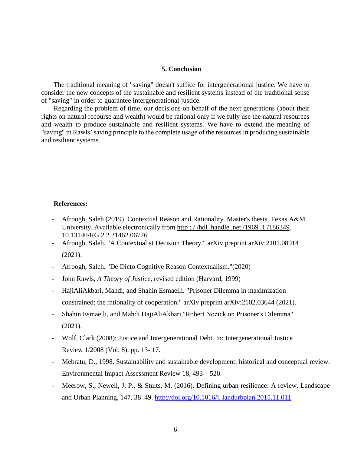## **5. Conclusion**

The traditional meaning of "saving" doesn't suffice for intergenerational justice. We have to consider the new concepts of the sustainable and resilient systems instead of the traditional sense of "saving" in order to guarantee intergenerational justice.

Regarding the problem of time, our decisions on behalf of the next generations (about their rights on natural recourse and wealth) would be rational only if we fully use the natural resources and wealth to produce sustainable and resilient systems. We have to extend the meaning of "saving" in Rawls' saving principle to the complete usage of the resources in producing sustainable and resilient systems.

### **References:**

- Afroogh, Saleh (2019). Contextual Reason and Rationality. Master's thesis, Texas A&M University. Available electronically from http : / /hdl .handle .net /1969 .1 [/186349.](http://hdl.handle.net/1969.1/186349) 10.13140/RG.2.2.21462.06726
- Afroogh, Saleh. "A Contextualist Decision Theory." arXiv preprint arXiv:2101.08914 (2021).
- Afroogh, Saleh. "De Dicto Cognitive Reason Contextualism."(2020)
- John Rawls, *A Theory of Justice*, revised edition (Harvard, 1999)
- HajiAliAkbari, Mahdi, and Shahin Esmaeili. "Prisoner Dilemma in maximization constrained: the rationality of cooperation." arXiv preprint arXiv:2102.03644 (2021).
- Shahin Esmaeili, and Mahdi HajiAliAkbari,"Robert Nozick on Prisoner's Dilemma" (2021).
- Wolf, Clark (2008): Justice and Intergenerational Debt. In: Intergenerational Justice Review 1/2008 (Vol. 8). pp. 13- 17.
- Mebratu, D., 1998. Sustainability and sustainable development: historical and conceptual review. Environmental Impact Assessment Review 18, 493 – 520.
- Meerow, S., Newell, J. P., & Stults, M. (2016). Defining urban resilience: A review. Landscape and Urban Planning, 147, 38–49. [http://doi.org/10.1016/j. landurbplan.2015.11.011](http://doi.org/10.1016/j.%20landurbplan.2015.11.011)